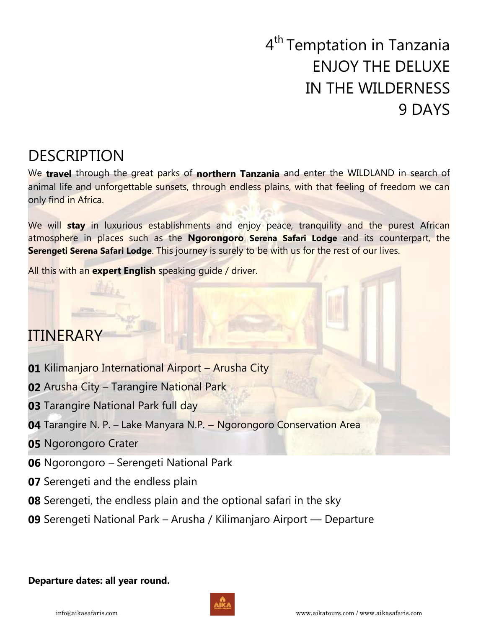# 4<sup>th</sup> Temptation in Tanzania ENJOY THE DELUXE IN THE WILDERNESS 9 DAYS

## DESCRIPTION

We **travel** through the great parks of **northern Tanzania** and enter the WILDLAND in search of animal life and unforgettable sunsets, through endless plains, with that feeling of freedom we can only find in Africa.

We will **stay** in luxurious establishments and enjoy peace, tranquility and the purest African atmosphere in places such as the **Ngorongoro Serena Safari Lodge** and its counterpart, the **Serengeti Serena Safari Lodge**. This journey is surely to be with us for the rest of our lives.

All this with an **expert English** speaking guide / driver.

## ITINERARY

- **01** Kilimanjaro International Airport Arusha City
- **02** Arusha City Tarangire National Park
- **03** Tarangire National Park full day
- **04** Tarangire N. P. Lake Manyara N.P. Ngorongoro Conservation Area
- **05** Ngorongoro Crater
- **06** Ngorongoro Serengeti National Park
- **07** Serengeti and the endless plain
- **08** Serengeti, the endless plain and the optional safari in the sky
- **09** Serengeti National Park Arusha / Kilimanjaro Airport Departure

### **Departure dates: all year round.**

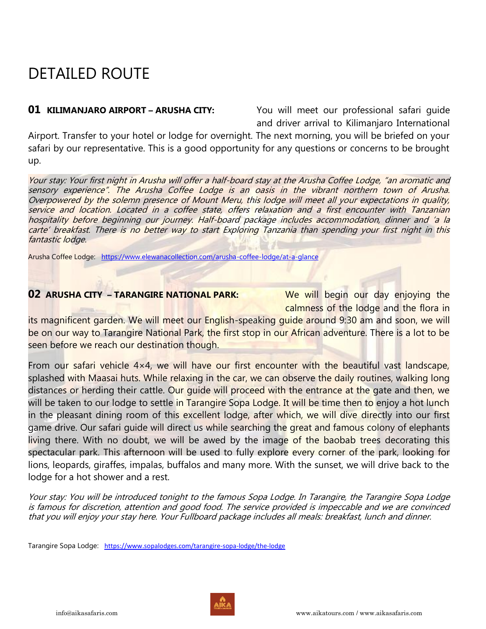## DETAILED ROUTE

**01 KILIMANJARO AIRPORT – ARUSHA CITY:** You will meet our professional safari quide and driver arrival to Kilimanjaro International

Airport. Transfer to your hotel or lodge for overnight. The next morning, you will be briefed on your safari by our representative. This is a good opportunity for any questions or concerns to be brought up.

Your stay: Your first night in Arusha will offer a half-board stay at the Arusha Coffee Lodge, "an aromatic and sensory experience". The Arusha Coffee Lodge is an oasis in the vibrant northern town of Arusha. Overpowered by the solemn presence of Mount Meru, this lodge will meet all your expectations in quality, service and location. Located in a coffee state, offers relaxation and a first encounter with Tanzanian hospitality before beginning our journey. Half-board package includes accommodation, dinner and 'a la carte' breakfast. There is no better way to start Exploring Tanzania than spending your first night in this fantastic lodge.

Arusha Coffee Lodge: <https://www.elewanacollection.com/arusha-coffee-lodge/at-a-glance>

### **02 ARUSHA CITY – TARANGIRE NATIONAL PARK:** We will begin our day enjoying the

calmness of the lodge and the flora in

its magnificent garden. We will meet our English-speaking guide around 9:30 am and soon, we will be on our way to Tarangire National Park, the first stop in our African adventure. There is a lot to be seen before we reach our destination though.

From our safari vehicle 4×4, we will have our first encounter with the beautiful vast landscape, splashed with Maasai huts. While relaxing in the car, we can observe the daily routines, walking long distances or herding their cattle. Our quide will proceed with the entrance at the gate and then, we will be taken to our lodge to settle in Tarangire Sopa Lodge. It will be time then to enjoy a hot lunch in the pleasant dining room of this excellent lodge, after which, we will dive directly into our first game drive. Our safari guide will direct us while searching the great and famous colony of elephants living there. With no doubt, we will be awed by the image of the baobab trees decorating this spectacular park. This afternoon will be used to fully explore every corner of the park, looking for lions, leopards, giraffes, impalas, buffalos and many more. With the sunset, we will drive back to the lodge for a hot shower and a rest.

Your stay: You will be introduced tonight to the famous Sopa Lodge. In Tarangire, the Tarangire Sopa Lodge is famous for discretion, attention and good food. The service provided is impeccable and we are convinced that you will enjoy your stay here. Your Fullboard package includes all meals: breakfast, lunch and dinner.

Tarangire Sopa Lodge: <https://www.sopalodges.com/tarangire-sopa-lodge/the-lodge>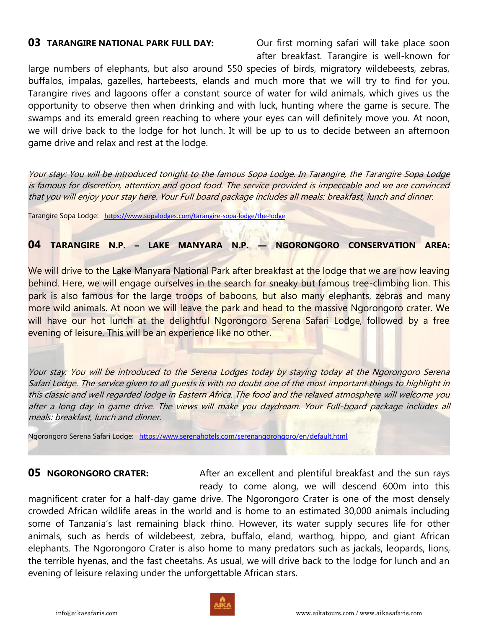**03 TARANGIRE NATIONAL PARK FULL DAY:** Our first morning safari will take place soon after breakfast. Tarangire is well-known for

large numbers of elephants, but also around 550 species of birds, migratory wildebeests, zebras, buffalos, impalas, gazelles, hartebeests, elands and much more that we will try to find for you. Tarangire rives and lagoons offer a constant source of water for wild animals, which gives us the opportunity to observe then when drinking and with luck, hunting where the game is secure. The swamps and its emerald green reaching to where your eyes can will definitely move you. At noon, we will drive back to the lodge for hot lunch. It will be up to us to decide between an afternoon game drive and relax and rest at the lodge.

Your stay: You will be introduced tonight to the famous Sopa Lodge. In Tarangire, the Tarangire Sopa Lodge is famous for discretion, attention and good food. The service provided is impeccable and we are convinced that you will enjoy your stay here. Your Full board package includes all meals: breakfast, lunch and dinner.

Tarangire Sopa Lodge: <https://www.sopalodges.com/tarangire-sopa-lodge/the-lodge>

**04 TARANGIRE N.P. – LAKE MANYARA N.P. — NGORONGORO CONSERVATION AREA:**

We will drive to the Lake Manyara National Park after breakfast at the lodge that we are now leaving behind. Here, we will engage ourselves in the search for sneaky but famous tree-climbing lion. This park is also famous for the large troops of baboons, but also many elephants, zebras and many more wild animals. At noon we will leave the park and head to the massive Ngorongoro crater. We will have our hot lunch at the delightful Ngorongoro Serena Safari Lodge, followed by a free evening of leisure. This will be an experience like no other.

Your stay: You will be introduced to the Serena Lodges today by staying today at the Ngorongoro Serena Safari Lodge. The service given to all guests is with no doubt one of the most important things to highlight in this classic and well regarded lodge in Eastern Africa. The food and the relaxed atmosphere will welcome you after a long day in game drive. The views will make you daydream. Your Full-board package includes all meals: breakfast, lunch and dinner.

Ngorongoro Serena Safari Lodge: <https://www.serenahotels.com/serenangorongoro/en/default.html>

**05 NGORONGORO CRATER:** After an excellent and plentiful breakfast and the sun rays ready to come along, we will descend 600m into this magnificent crater for a half-day game drive. The Ngorongoro Crater is one of the most densely crowded African wildlife areas in the world and is home to an estimated 30,000 animals including some of Tanzania's last remaining black rhino. However, its water supply secures life for other animals, such as herds of wildebeest, zebra, buffalo, eland, warthog, hippo, and giant African elephants. The Ngorongoro Crater is also home to many predators such as jackals, leopards, lions, the terrible hyenas, and the fast cheetahs. As usual, we will drive back to the lodge for lunch and an evening of leisure relaxing under the unforgettable African stars.

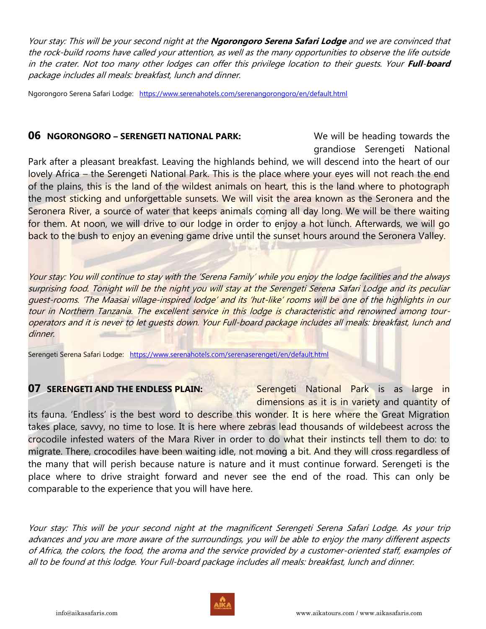Your stay: This will be your second night at the **Ngorongoro Serena Safari Lodge** and we are convinced that the rock-build rooms have called your attention, as well as the many opportunities to observe the life outside in the crater. Not too many other lodges can offer this privilege location to their guests. Your **Full**-**board**  package includes all meals: breakfast, lunch and dinner.

Ngorongoro Serena Safari Lodge: <https://www.serenahotels.com/serenangorongoro/en/default.html>

### **06 NGORONGORO – SERENGETI NATIONAL PARK:** We will be heading towards the

grandiose Serengeti National

Park after a pleasant breakfast. Leaving the highlands behind, we will descend into the heart of our lovely Africa – the Serengeti National Park. This is the place where your eyes will not reach the end of the plains, this is the land of the wildest animals on heart, this is the land where to photograph the most sticking and unforgettable sunsets. We will visit the area known as the Seronera and the Seronera River, a source of water that keeps animals coming all day long. We will be there waiting for them. At noon, we will drive to our lodge in order to enjoy a hot lunch. Afterwards, we will go back to the bush to enjoy an evening game drive until the sunset hours around the Seronera Valley.

Your stay: You will continue to stay with the 'Serena Family' while you enjoy the lodge facilities and the always surprising food. Tonight will be the night you will stay at the Serengeti Serena Safari Lodge and its peculiar guest-rooms. 'The Maasai village-inspired lodge' and its 'hut-like' rooms will be one of the highlights in our tour in Northern Tanzania. The excellent service in this lodge is characteristic and renowned among touroperators and it is never to let guests down. Your Full-board package includes all meals: breakfast, lunch and dinner.

Serengeti Serena Safari Lodge: <https://www.serenahotels.com/serenaserengeti/en/default.html>

**07 SERENGETI AND THE ENDLESS PLAIN:** Serengeti National Park is as large in dimensions as it is in variety and quantity of

its fauna. 'Endless' is the best word to describe this wonder. It is here where the Great Migration takes place, savvy, no time to lose. It is here where zebras lead thousands of wildebeest across the crocodile infested waters of the Mara River in order to do what their instincts tell them to do: to migrate. There, crocodiles have been waiting idle, not moving a bit. And they will cross regardless of the many that will perish because nature is nature and it must continue forward. Serengeti is the place where to drive straight forward and never see the end of the road. This can only be comparable to the experience that you will have here.

Your stay: This will be your second night at the magnificent Serengeti Serena Safari Lodge. As your trip advances and you are more aware of the surroundings, you will be able to enjoy the many different aspects of Africa, the colors, the food, the aroma and the service provided by a customer-oriented staff, examples of all to be found at this lodge. Your Full-board package includes all meals: breakfast, lunch and dinner.

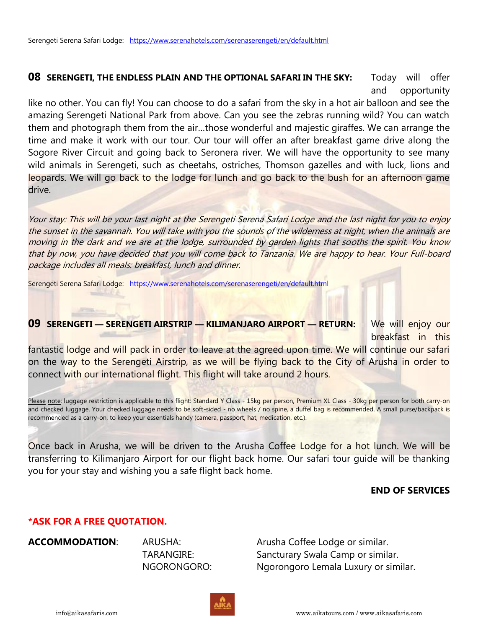**08 SERENGETI, THE ENDLESS PLAIN AND THE OPTIONAL SAFARI IN THE SKY:** Today will offer and opportunity

like no other. You can fly! You can choose to do a safari from the sky in a hot air balloon and see the amazing Serengeti National Park from above. Can you see the zebras running wild? You can watch them and photograph them from the air…those wonderful and majestic giraffes. We can arrange the time and make it work with our tour. Our tour will offer an after breakfast game drive along the Sogore River Circuit and going back to Seronera river. We will have the opportunity to see many wild animals in Serengeti, such as cheetahs, ostriches, Thomson gazelles and with luck, lions and leopards. We will go back to the lodge for lunch and go back to the bush for an afternoon game drive.

Your stay: This will be your last night at the Serengeti Serena Safari Lodge and the last night for you to enjoy the sunset in the savannah. You will take with you the sounds of the wilderness at night, when the animals are moving in the dark and we are at the lodge, surrounded by garden lights that sooths the spirit. You know that by now, you have decided that you will come back to Tanzania. We are happy to hear. Your Full-board package includes all meals: breakfast, lunch and dinner.

Serengeti Serena Safari Lodge: <https://www.serenahotels.com/serenaserengeti/en/default.html>

**09 SERENGETI — SERENGETI AIRSTRIP — KILIMANJARO AIRPORT — RETURN:** We will enjoy our breakfast in this fantastic lodge and will pack in order to leave at the agreed upon time. We will continue our safari

on the way to the Serengeti Airstrip, as we will be flying back to the City of Arusha in order to connect with our international flight. This flight will take around 2 hours.

Please note: luggage restriction is applicable to this flight: Standard Y Class - 15kg per person, Premium XL Class - 30kg per person for both carry-on and checked luggage. Your checked luggage needs to be soft-sided - no wheels / no spine, a duffel bag is recommended. A small purse/backpack is recommended as a carry-on, to keep your essentials handy (camera, passport, hat, medication, etc.).

Once back in Arusha, we will be driven to the Arusha Coffee Lodge for a hot lunch. We will be transferring to Kilimanjaro Airport for our flight back home. Our safari tour guide will be thanking you for your stay and wishing you a safe flight back home.

### **END OF SERVICES**

### **\*ASK FOR A FREE QUOTATION.**

**ACCOMMODATION:** ARUSHA: ARUSHA: Arusha Coffee Lodge or similar. TARANGIRE: Sancturary Swala Camp or similar. NGORONGORO: Ngorongoro Lemala Luxury or similar.